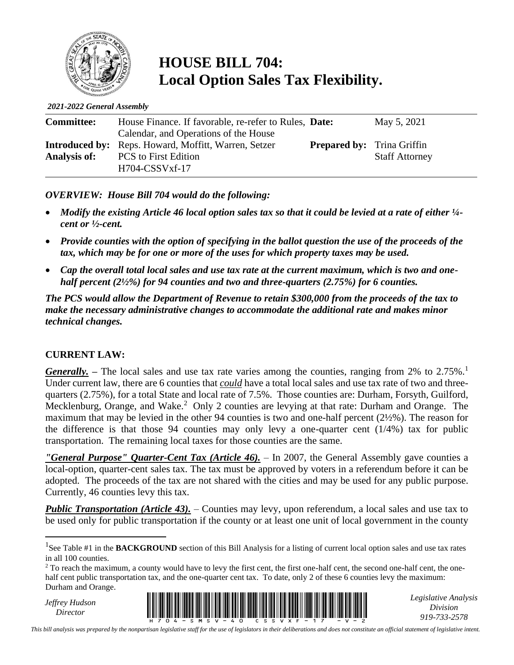

# **HOUSE BILL 704: Local Option Sales Tax Flexibility.**

*2021-2022 General Assembly*

| <b>Committee:</b>   | House Finance. If favorable, re-refer to Rules, Date:       |                                   | May 5, 2021           |
|---------------------|-------------------------------------------------------------|-----------------------------------|-----------------------|
|                     | Calendar, and Operations of the House                       |                                   |                       |
|                     | <b>Introduced by:</b> Reps. Howard, Moffitt, Warren, Setzer | <b>Prepared by:</b> Trina Griffin |                       |
| <b>Analysis of:</b> | <b>PCS</b> to First Edition                                 |                                   | <b>Staff Attorney</b> |
|                     | $H704$ -CSSVxf-17                                           |                                   |                       |

*OVERVIEW: House Bill 704 would do the following:* 

- *Modify the existing Article 46 local option sales tax so that it could be levied at a rate of either ¼ cent or ½-cent.*
- *Provide counties with the option of specifying in the ballot question the use of the proceeds of the tax, which may be for one or more of the uses for which property taxes may be used.*
- *Cap the overall total local sales and use tax rate at the current maximum, which is two and onehalf percent (2½%) for 94 counties and two and three-quarters (2.75%) for 6 counties.*

*The PCS would allow the Department of Revenue to retain \$300,000 from the proceeds of the tax to make the necessary administrative changes to accommodate the additional rate and makes minor technical changes.*

#### **CURRENT LAW:**

*Generally.* – The local sales and use tax rate varies among the counties, ranging from 2% to 2.75%.<sup>1</sup> Under current law, there are 6 counties that *could* have a total local sales and use tax rate of two and threequarters (2.75%), for a total State and local rate of 7.5%. Those counties are: Durham, Forsyth, Guilford, Mecklenburg, Orange, and Wake.<sup>2</sup> Only 2 counties are levying at that rate: Durham and Orange. The maximum that may be levied in the other 94 counties is two and one-half percent (2½%). The reason for the difference is that those 94 counties may only levy a one-quarter cent  $(1/4%)$  tax for public transportation. The remaining local taxes for those counties are the same.

*"General Purpose" Quarter-Cent Tax (Article 46).* – In 2007, the General Assembly gave counties a local-option, quarter-cent sales tax. The tax must be approved by voters in a referendum before it can be adopted. The proceeds of the tax are not shared with the cities and may be used for any public purpose. Currently, 46 counties levy this tax.

*Public Transportation (Article 43).* – Counties may levy, upon referendum, a local sales and use tax to be used only for public transportation if the county or at least one unit of local government in the county

*Jeffrey Hudson*



*Legislative Analysis Division 919-733-2578*

*This bill analysis was prepared by the nonpartisan legislative staff for the use of legislators in their deliberations and does not constitute an official statement of legislative intent.*

<sup>&</sup>lt;sup>1</sup>See Table #1 in the **BACKGROUND** section of this Bill Analysis for a listing of current local option sales and use tax rates in all 100 counties.

<sup>&</sup>lt;sup>2</sup> To reach the maximum, a county would have to levy the first cent, the first one-half cent, the second one-half cent, the onehalf cent public transportation tax, and the one-quarter cent tax. To date, only 2 of these 6 counties levy the maximum: Durham and Orange.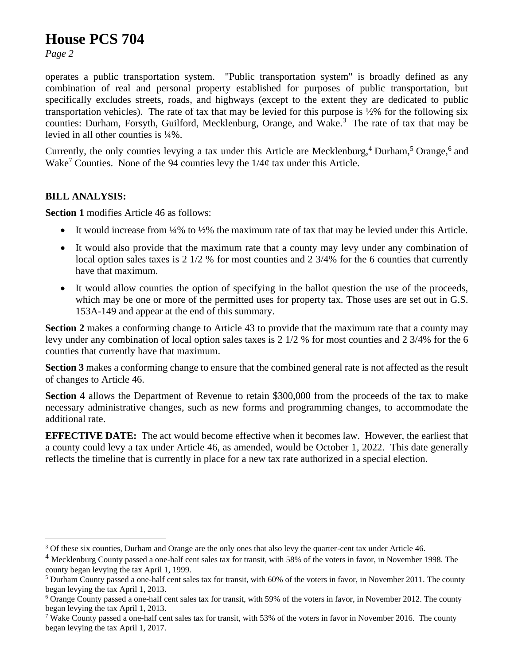### **House PCS 704**

*Page 2*

operates a public transportation system. "Public transportation system" is broadly defined as any combination of real and personal property established for purposes of public transportation, but specifically excludes streets, roads, and highways (except to the extent they are dedicated to public transportation vehicles). The rate of tax that may be levied for this purpose is  $\frac{1}{2}$  for the following six counties: Durham, Forsyth, Guilford, Mecklenburg, Orange, and Wake.<sup>3</sup> The rate of tax that may be levied in all other counties is ¼%.

Currently, the only counties levying a tax under this Article are Mecklenburg,<sup>4</sup> Durham,<sup>5</sup> Orange,<sup>6</sup> and Wake<sup>7</sup> Counties. None of the 94 counties levy the  $1/4\phi$  tax under this Article.

#### **BILL ANALYSIS:**

**Section 1** modifies Article 46 as follows:

- It would increase from 14% to 1/2% the maximum rate of tax that may be levied under this Article.
- It would also provide that the maximum rate that a county may levy under any combination of local option sales taxes is 2 1/2 % for most counties and 2 3/4% for the 6 counties that currently have that maximum.
- It would allow counties the option of specifying in the ballot question the use of the proceeds, which may be one or more of the permitted uses for property tax. Those uses are set out in G.S. 153A-149 and appear at the end of this summary.

**Section 2** makes a conforming change to Article 43 to provide that the maximum rate that a county may levy under any combination of local option sales taxes is 2 1/2 % for most counties and 2 3/4% for the 6 counties that currently have that maximum.

**Section 3** makes a conforming change to ensure that the combined general rate is not affected as the result of changes to Article 46.

**Section 4** allows the Department of Revenue to retain \$300,000 from the proceeds of the tax to make necessary administrative changes, such as new forms and programming changes, to accommodate the additional rate.

**EFFECTIVE DATE:** The act would become effective when it becomes law. However, the earliest that a county could levy a tax under Article 46, as amended, would be October 1, 2022. This date generally reflects the timeline that is currently in place for a new tax rate authorized in a special election.

<sup>&</sup>lt;sup>3</sup> Of these six counties, Durham and Orange are the only ones that also levy the quarter-cent tax under Article 46.

<sup>&</sup>lt;sup>4</sup> Mecklenburg County passed a one-half cent sales tax for transit, with 58% of the voters in favor, in November 1998. The county began levying the tax April 1, 1999.

<sup>5</sup> Durham County passed a one-half cent sales tax for transit, with 60% of the voters in favor, in November 2011. The county began levying the tax April 1, 2013.

<sup>&</sup>lt;sup>6</sup> Orange County passed a one-half cent sales tax for transit, with 59% of the voters in favor, in November 2012. The county began levying the tax April 1, 2013.

<sup>&</sup>lt;sup>7</sup> Wake County passed a one-half cent sales tax for transit, with 53% of the voters in favor in November 2016. The county began levying the tax April 1, 2017.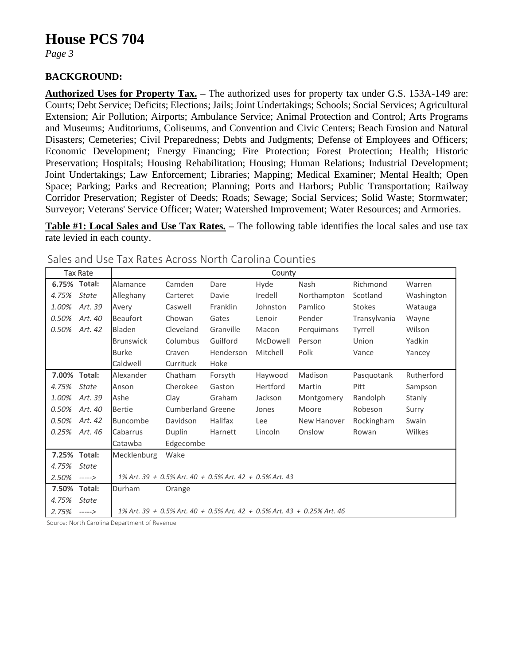### **House PCS 704**

*Page 3*

#### **BACKGROUND:**

**Authorized Uses for Property Tax. –** The authorized uses for property tax under G.S. 153A-149 are: Courts; Debt Service; Deficits; Elections; Jails; Joint Undertakings; Schools; Social Services; Agricultural Extension; Air Pollution; Airports; Ambulance Service; Animal Protection and Control; Arts Programs and Museums; Auditoriums, Coliseums, and Convention and Civic Centers; Beach Erosion and Natural Disasters; Cemeteries; Civil Preparedness; Debts and Judgments; Defense of Employees and Officers; Economic Development; Energy Financing; Fire Protection; Forest Protection; Health; Historic Preservation; Hospitals; Housing Rehabilitation; Housing; Human Relations; Industrial Development; Joint Undertakings; Law Enforcement; Libraries; Mapping; Medical Examiner; Mental Health; Open Space; Parking; Parks and Recreation; Planning; Ports and Harbors; Public Transportation; Railway Corridor Preservation; Register of Deeds; Roads; Sewage; Social Services; Solid Waste; Stormwater; Surveyor; Veterans' Service Officer; Water; Watershed Improvement; Water Resources; and Armories.

**Table #1: Local Sales and Use Tax Rates. –** The following table identifies the local sales and use tax rate levied in each county.

|              | <b>Tax Rate</b> |                      |                                                         |           | County   |                                                                         |               |            |
|--------------|-----------------|----------------------|---------------------------------------------------------|-----------|----------|-------------------------------------------------------------------------|---------------|------------|
| 6.75% Total: |                 | Alamance             | Camden                                                  | Dare      | Hyde     | <b>Nash</b>                                                             | Richmond      | Warren     |
| 4.75%        | <b>State</b>    | Alleghany            | Carteret                                                | Davie     | Iredell  | Northampton                                                             | Scotland      | Washington |
| 1.00%        | Art. 39         | Avery                | Caswell                                                 | Franklin  | Johnston | Pamlico                                                                 | <b>Stokes</b> | Watauga    |
| 0.50%        | Art. 40         | <b>Beaufort</b>      | Chowan                                                  | Gates     | Lenoir   | Pender                                                                  | Transylvania  | Wayne      |
| 0.50%        | Art. 42         | Bladen               | Cleveland                                               | Granville | Macon    | Perguimans                                                              | Tyrrell       | Wilson     |
|              |                 | <b>Brunswick</b>     | Columbus                                                | Guilford  | McDowell | Person                                                                  | Union         | Yadkin     |
|              |                 | <b>Burke</b>         | Craven                                                  | Henderson | Mitchell | Polk                                                                    | Vance         | Yancey     |
|              |                 | Caldwell             | Currituck                                               | Hoke      |          |                                                                         |               |            |
| 7.00% Total: |                 | Alexander            | Chatham                                                 | Forsyth   | Haywood  | Madison                                                                 | Pasquotank    | Rutherford |
| 4.75%        | <b>State</b>    | Anson                | Cherokee                                                | Gaston    | Hertford | Martin                                                                  | Pitt          | Sampson    |
| 1.00%        | Art. 39         | Ashe                 | Clay                                                    | Graham    | Jackson  | Montgomery                                                              | Randolph      | Stanly     |
| 0.50%        | Art. 40         | <b>Bertie</b>        | Cumberland Greene                                       |           | Jones    | Moore                                                                   | Robeson       | Surry      |
| 0.50%        | Art. 42         | <b>Buncombe</b>      | Davidson                                                | Halifax   | Lee      | New Hanover                                                             | Rockingham    | Swain      |
| 0.25%        | Art. 46         | Cabarrus             | Duplin                                                  | Harnett   | Lincoln  | Onslow                                                                  | Rowan         | Wilkes     |
|              |                 | Catawba<br>Edgecombe |                                                         |           |          |                                                                         |               |            |
| 7.25% Total: |                 | Mecklenburg          | Wake                                                    |           |          |                                                                         |               |            |
| 4.75%        | <b>State</b>    |                      |                                                         |           |          |                                                                         |               |            |
| 2.50%        | ----->          |                      | 1% Art. 39 + 0.5% Art. 40 + 0.5% Art. 42 + 0.5% Art. 43 |           |          |                                                                         |               |            |
| 7.50%        | Total:          | Durham               | Orange                                                  |           |          |                                                                         |               |            |
| 4.75%        | State           |                      |                                                         |           |          |                                                                         |               |            |
| 2.75%        | $--->$          |                      |                                                         |           |          | 1% Art. 39 + 0.5% Art. 40 + 0.5% Art. 42 + 0.5% Art. 43 + 0.25% Art. 46 |               |            |

Sales and Use Tax Rates Across North Carolina Counties

Source: North Carolina Department of Revenue